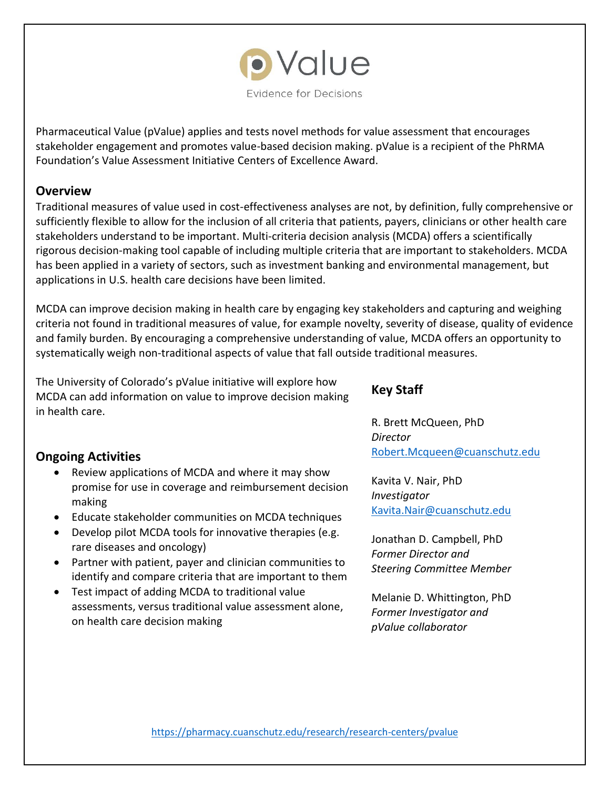

Pharmaceutical Value (pValue) applies and tests novel methods for value assessment that encourages stakeholder engagement and promotes value-based decision making. pValue is a recipient of the [PhRMA](http://www.phrmafoundation.org/2018-awards/value-assessment-initiative/)  [Foundation's Value Assessment Initiative](http://www.phrmafoundation.org/2018-awards/value-assessment-initiative/) Centers of Excellence Award.

# **Overview**

Traditional measures of value used in cost-effectiveness analyses are not, by definition, fully comprehensive or sufficiently flexible to allow for the inclusion of all criteria that patients, payers, clinicians or other health care stakeholders understand to be important. Multi-criteria decision analysis (MCDA) offers a scientifically rigorous decision-making tool capable of including multiple criteria that are important to stakeholders. MCDA has been applied in a variety of sectors, such as investment banking and environmental management, but applications in U.S. health care decisions have been limited.

MCDA can improve decision making in health care by engaging key stakeholders and capturing and weighing criteria not found in traditional measures of value, for example novelty, severity of disease, quality of evidence and family burden. By encouraging a comprehensive understanding of value, MCDA offers an opportunity to systematically weigh non-traditional aspects of value that fall outside traditional measures.

The University of Colorado's pValue initiative will explore how MCDA can add information on value to improve decision making in health care.

# **Ongoing Activities**

- Review applications of MCDA and where it may show promise for use in coverage and reimbursement decision making
- Educate stakeholder communities on MCDA techniques
- Develop pilot MCDA tools for innovative therapies (e.g. rare diseases and oncology)
- Partner with patient, payer and clinician communities to identify and compare criteria that are important to them
- Test impact of adding MCDA to traditional value assessments, versus traditional value assessment alone, on health care decision making

# **Key Staff**

R. Brett McQueen, PhD *Director* [Robert.Mcqueen@cuanschutz.edu](mailto:Robert.Mcqueen@cuanschutz.edu)

Kavita V. Nair, PhD *Investigator* [Kavita.Nair@cuanschutz.edu](mailto:Kavita.Nair@cuanschutz.edu)

Jonathan D. Campbell, PhD *Former Director and Steering Committee Member*

Melanie D. Whittington, PhD *Former Investigator and pValue collaborator*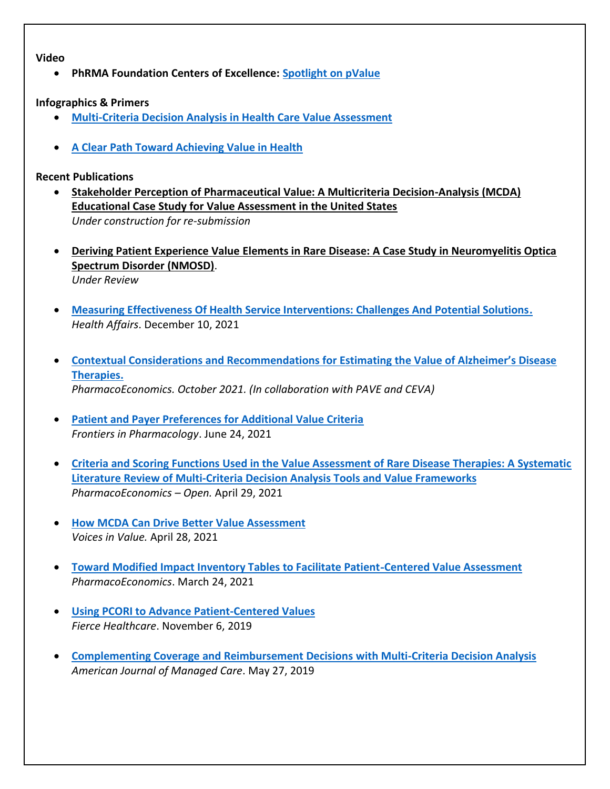#### **Video**

• **PhRMA Foundation Centers of Excellence: [Spotlight on pValue](http://www.phrmafoundation.org/wp-content/uploads/2020/03/PhRMA-Foundation-2.-pValue.mp4)**

**Infographics & Primers**

- **[Multi-Criteria Decision Analysis in Health Care Value Assessment](http://www.phrmafoundation.org/wp-content/uploads/2021/04/MCDA-Primer_FINAL-1.pdf)**
- **[A Clear Path Toward Achieving Value in Health](https://pharmacy.cuanschutz.edu/images/librariesprovider195/research-images/research-centers-images/clear-path-pvalue.png?sfvrsn=3f8a14b9_4)**

## **Recent Publications**

- **Stakeholder Perception of Pharmaceutical Value: A Multicriteria Decision-Analysis (MCDA) Educational Case Study for Value Assessment in the United States** *Under construction for re-submission*
- **Deriving Patient Experience Value Elements in Rare Disease: A Case Study in Neuromyelitis Optica Spectrum Disorder (NMOSD)**. *Under Review*
- **[Measuring Effectiveness Of Health Service Interventions: Challenges And Potential Solutions.](https://www.healthaffairs.org/do/10.1377/hblog20211209.620941/full/)** *Health Affairs*. December 10, 2021
- **[Contextual Considerations and Recommendations for Estimating the Value of Alzheimer's Disease](https://pubmed.ncbi.nlm.nih.gov/34554383/)  [Therapies.](https://pubmed.ncbi.nlm.nih.gov/34554383/)** *PharmacoEconomics. October 2021. (In collaboration with PAVE and CEVA)*
- **[Patient and Payer Preferences for Additional Value Criteria](https://www.frontiersin.org/articles/10.3389/fphar.2021.690021/full)** *Frontiers in Pharmacology*. June 24, 2021
- **[Criteria and Scoring Functions Used in the Value Assessment of Rare Disease Therapies: A Systematic](https://link.springer.com/content/pdf/10.1007/s41669-021-00271-w.pdf)  [Literature Review of Multi-Criteria Decision Analysis Tools and Value Frameworks](https://link.springer.com/content/pdf/10.1007/s41669-021-00271-w.pdf)** *PharmacoEconomics – Open.* April 29, 2021
- **[How MCDA Can Drive Better Value Assessment](http://www.phrmafoundation.org/2021/04/how-mcda-can-drive-better-value-assessment/)** *Voices in Value.* April 28, 2021
- **[Toward Modified Impact Inventory Tables to Facilitate Patient](https://link.springer.com/article/10.1007/s40273-021-01017-6)**‑**Centered Value Assessment** *PharmacoEconomics*. March 24, 2021
- **[Using PCORI to Advance Patient-Centered Values](https://www.fiercehealthcare.com/hospitals-health-systems/industry-voices-we-need-to-move-from-patient-centered-outcomes-to-patient)** *Fierce Healthcare*. November 6, 2019
- **[Complementing Coverage and Reimbursement Decisions with Multi-Criteria Decision Analysis](https://www.ajmc.com/contributor/the-university-of-colorado-pharmaceutical-value/2019/05/complimenting-coverage-and-reimbursement-decisions-with-multicriteria-decision-analysis)** *American Journal of Managed Care*. May 27, 2019